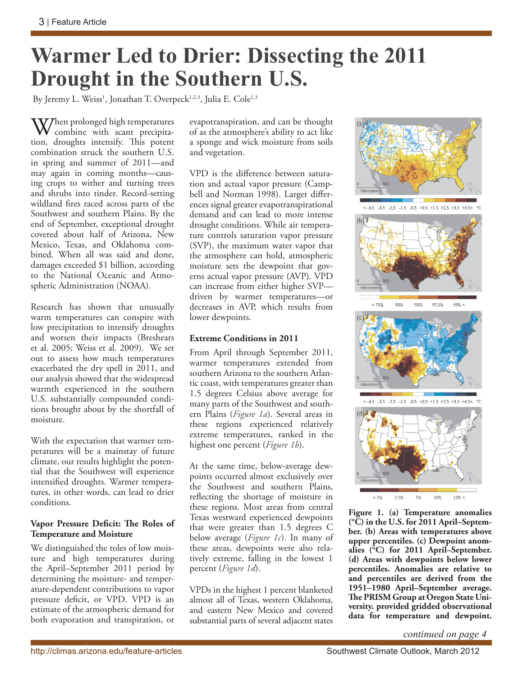# **Warmer Led to Drier: Dissecting the 2011 Drought in the Southern U.S.**

By Jeremy L. Weiss<sup>1</sup>, Jonathan T. Overpeck<sup>1,2,3</sup>, Julia E. Cole<sup>1,3</sup>

 $\bf W$ /hen prolonged high temperatures combine with scant precipitation, droughts intensify. This potent combination struck the southern U.S. in spring and summer of 2011—and may again in coming months—causing crops to wither and turning trees and shrubs into tinder. Record-setting wildland fires raced across parts of the Southwest and southern Plains. By the end of September, exceptional drought covered about half of Arizona, New Mexico, Texas, and Oklahoma combined. When all was said and done, damages exceeded \$1 billion, according to the National Oceanic and Atmospheric Administration (NOAA).

Research has shown that unusually warm temperatures can conspire with low precipitation to intensify droughts and worsen their impacts (Breshears et al. 2005; Weiss et al. 2009). We set out to assess how much temperatures exacerbated the dry spell in 2011, and our analysis showed that the widespread warmth experienced in the southern U.S. substantially compounded conditions brought about by the shortfall of moisture.

With the expectation that warmer temperatures will be a mainstay of future climate, our results highlight the potential that the Southwest will experience intensified droughts. Warmer temperatures, in other words, can lead to drier conditions.

#### **Vapor Pressure Deficit: The Roles of Temperature and Moisture**

We distinguished the roles of low moisture and high temperatures during the April–September 2011 period by determining the moisture- and temperature-dependent contributions to vapor pressure deficit, or VPD. VPD is an estimate of the atmospheric demand for both evaporation and transpiration, or evapotranspiration, and can be thought of as the atmosphere's ability to act like a sponge and wick moisture from soils and vegetation.

VPD is the difference between saturation and actual vapor pressure (Campbell and Norman 1998). Larger differences signal greater evapotranspirational demand and can lead to more intense drought conditions. While air temperature controls saturation vapor pressure (SVP), the maximum water vapor that the atmosphere can hold, atmospheric moisture sets the dewpoint that governs actual vapor pressure (AVP). VPD can increase from either higher SVP driven by warmer temperatures—or decreases in AVP, which results from lower dewpoints.

### **Extreme Conditions in 2011**

From April through September 2011, warmer temperatures extended from southern Arizona to the southern Atlantic coast, with temperatures greater than 1.5 degrees Celsius above average for many parts of the Southwest and southern Plains (*Figure 1a*). Several areas in these regions experienced relatively extreme temperatures, ranked in the highest one percent (*Figure 1b*).

At the same time, below-average dewpoints occurred almost exclusively over the Southwest and southern Plains, reflecting the shortage of moisture in these regions. Most areas from central Texas westward experienced dewpoints that were greater than 1.5 degrees C below average (*Figure 1c*). In many of these areas, dewpoints were also relatively extreme, falling in the lowest 1 percent (*Figure 1d*).

VPDs in the highest 1 percent blanketed almost all of Texas, western Oklahoma, and eastern New Mexico and covered substantial parts of several adjacent states



 $< -4.5 -3.5 -2.5 -1.5 -0.5 +0.5 +1.5 +2.5 +3.5 +4.5$ 







**Figure 1. (a) Temperature anomalies (°C) in the U.S. for 2011 April–September. (b) Areas with temperatures above upper percentiles. (c) Dewpoint anomalies (°C) for 2011 April–September. (d) Areas with dewpoints below lower percentiles. Anomalies are relative to and percentiles are derived from the 1951–1980 April–September average. The PRISM Group at Oregon State University. provided gridded observational data for temperature and dewpoint.**

*continued on page 4*